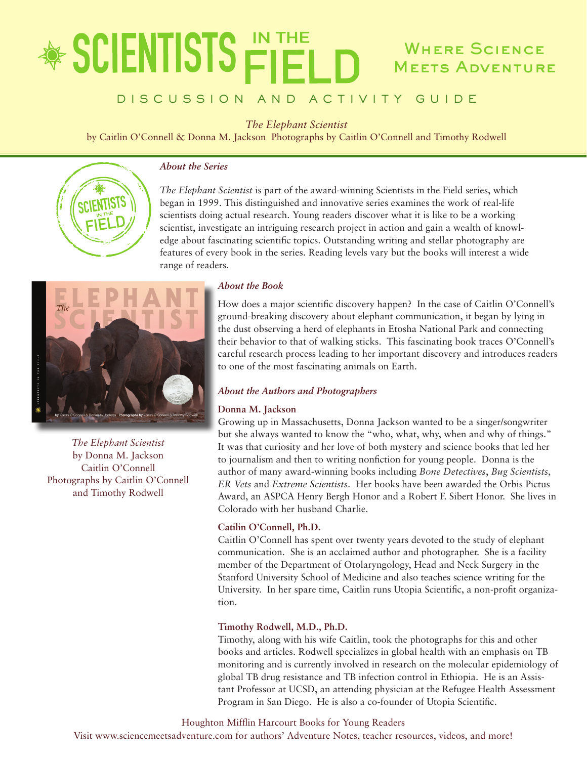## **SCIENTISTS FIFT** Where Science **MEETS ADVENTURE**

## DISCUSSION AND ACTIVITY GUIDE

*The Elephant Scientist*

by Caitlin O'Connell & Donna M. Jackson Photographs by Caitlin O'Connell and Timothy Rodwell



## *About the Series*

*The Elephant Scientist* is part of the award-winning Scientists in the Field series, which began in 1999. This distinguished and innovative series examines the work of real-life scientists doing actual research. Young readers discover what it is like to be a working scientist, investigate an intriguing research project in action and gain a wealth of knowledge about fascinating scientific topics. Outstanding writing and stellar photography are features of every book in the series. Reading levels vary but the books will interest a wide range of readers.



*The Elephant Scientist* by Donna M. Jackson Caitlin O'Connell Photographs by Caitlin O'Connell and Timothy Rodwell

## *About the Book*

How does a major scientific discovery happen? In the case of Caitlin O'Connell's ground-breaking discovery about elephant communication, it began by lying in the dust observing a herd of elephants in Etosha National Park and connecting their behavior to that of walking sticks. This fascinating book traces O'Connell's careful research process leading to her important discovery and introduces readers to one of the most fascinating animals on Earth.

## *About the Authors and Photographers*

## **Donna M. Jackson**

Growing up in Massachusetts, Donna Jackson wanted to be a singer/songwriter but she always wanted to know the "who, what, why, when and why of things." It was that curiosity and her love of both mystery and science books that led her to journalism and then to writing nonfiction for young people. Donna is the author of many award-winning books including *Bone Detectives*, *Bug Scientists*, *ER Vets* and *Extreme Scientists*. Her books have been awarded the Orbis Pictus Award, an ASPCA Henry Bergh Honor and a Robert F. Sibert Honor. She lives in Colorado with her husband Charlie.

## **Catilin O'Connell, Ph.D.**

Caitlin O'Connell has spent over twenty years devoted to the study of elephant communication. She is an acclaimed author and photographer. She is a facility member of the Department of Otolaryngology, Head and Neck Surgery in the Stanford University School of Medicine and also teaches science writing for the University. In her spare time, Caitlin runs Utopia Scientific, a non-profit organization.

## **Timothy Rodwell, M.D., Ph.D.**

Timothy, along with his wife Caitlin, took the photographs for this and other books and articles. Rodwell specializes in global health with an emphasis on TB monitoring and is currently involved in research on the molecular epidemiology of global TB drug resistance and TB infection control in Ethiopia. He is an Assistant Professor at UCSD, an attending physician at the Refugee Health Assessment Program in San Diego. He is also a co-founder of Utopia Scientific.

Houghton Mifflin Harcourt Books for Young Readers

Visit www.sciencemeetsadventure.com for authors' Adventure Notes, teacher resources, videos, and more!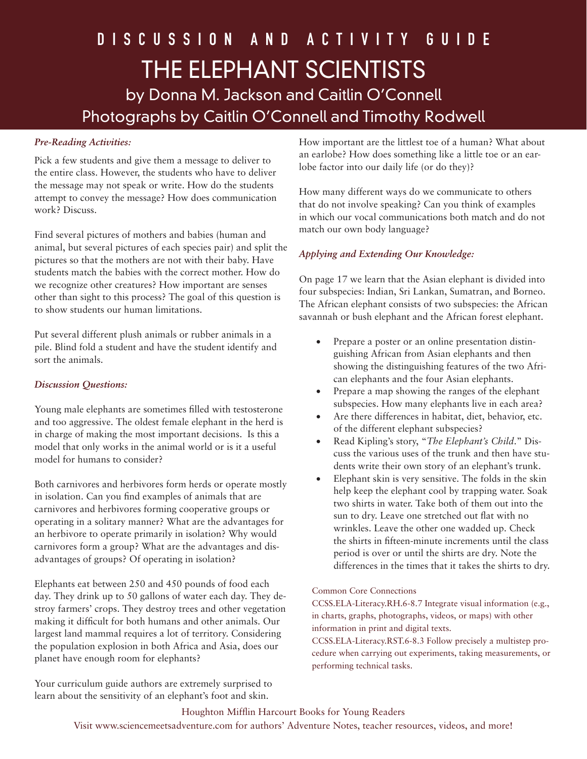## *Pre-Reading Activities:*

Pick a few students and give them a message to deliver to the entire class. However, the students who have to deliver the message may not speak or write. How do the students attempt to convey the message? How does communication work? Discuss.

Find several pictures of mothers and babies (human and animal, but several pictures of each species pair) and split the pictures so that the mothers are not with their baby. Have students match the babies with the correct mother. How do we recognize other creatures? How important are senses other than sight to this process? The goal of this question is to show students our human limitations.

Put several different plush animals or rubber animals in a pile. Blind fold a student and have the student identify and sort the animals.

## *Discussion Questions:*

Young male elephants are sometimes filled with testosterone and too aggressive. The oldest female elephant in the herd is in charge of making the most important decisions. Is this a model that only works in the animal world or is it a useful model for humans to consider?

Both carnivores and herbivores form herds or operate mostly in isolation. Can you find examples of animals that are carnivores and herbivores forming cooperative groups or operating in a solitary manner? What are the advantages for an herbivore to operate primarily in isolation? Why would carnivores form a group? What are the advantages and disadvantages of groups? Of operating in isolation?

Elephants eat between 250 and 450 pounds of food each day. They drink up to 50 gallons of water each day. They destroy farmers' crops. They destroy trees and other vegetation making it difficult for both humans and other animals. Our largest land mammal requires a lot of territory. Considering the population explosion in both Africa and Asia, does our planet have enough room for elephants?

Your curriculum guide authors are extremely surprised to learn about the sensitivity of an elephant's foot and skin.

How important are the littlest toe of a human? What about an earlobe? How does something like a little toe or an earlobe factor into our daily life (or do they)?

How many different ways do we communicate to others that do not involve speaking? Can you think of examples in which our vocal communications both match and do not match our own body language?

## *Applying and Extending Our Knowledge:*

On page 17 we learn that the Asian elephant is divided into four subspecies: Indian, Sri Lankan, Sumatran, and Borneo. The African elephant consists of two subspecies: the African savannah or bush elephant and the African forest elephant.

- Prepare a poster or an online presentation distinguishing African from Asian elephants and then showing the distinguishing features of the two African elephants and the four Asian elephants.
- Prepare a map showing the ranges of the elephant subspecies. How many elephants live in each area?
- Are there differences in habitat, diet, behavior, etc. of the different elephant subspecies?
- Read Kipling's story, "The Elephant's Child." Discuss the various uses of the trunk and then have students write their own story of an elephant's trunk.
- Elephant skin is very sensitive. The folds in the skin help keep the elephant cool by trapping water. Soak two shirts in water. Take both of them out into the sun to dry. Leave one stretched out flat with no wrinkles. Leave the other one wadded up. Check the shirts in fifteen-minute increments until the class period is over or until the shirts are dry. Note the differences in the times that it takes the shirts to dry.

## Common Core Connections

CCSS.ELA-Literacy.RH.6-8.7 Integrate visual information (e.g., in charts, graphs, photographs, videos, or maps) with other information in print and digital texts.

CCSS.ELA-Literacy.RST.6-8.3 Follow precisely a multistep procedure when carrying out experiments, taking measurements, or performing technical tasks.

## Houghton Mifflin Harcourt Books for Young Readers Visit www.sciencemeetsadventure.com for authors' Adventure Notes, teacher resources, videos, and more!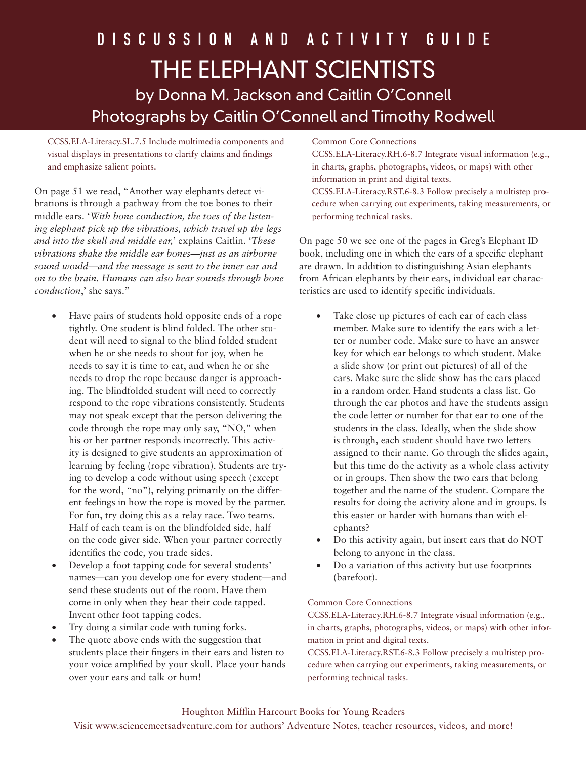CCSS.ELA-Literacy.SL.7.5 Include multimedia components and visual displays in presentations to clarify claims and findings and emphasize salient points.

On page 51 we read, "Another way elephants detect vibrations is through a pathway from the toe bones to their middle ears. '*With bone conduction, the toes of the listening elephant pick up the vibrations, which travel up the legs and into the skull and middle ear,*' explains Caitlin. '*These vibrations shake the middle ear bones—just as an airborne sound would—and the message is sent to the inner ear and on to the brain. Humans can also hear sounds through bone conduction*,' she says."

- Have pairs of students hold opposite ends of a rope tightly. One student is blind folded. The other student will need to signal to the blind folded student when he or she needs to shout for joy, when he needs to say it is time to eat, and when he or she needs to drop the rope because danger is approaching. The blindfolded student will need to correctly respond to the rope vibrations consistently. Students may not speak except that the person delivering the code through the rope may only say, "NO," when his or her partner responds incorrectly. This activity is designed to give students an approximation of learning by feeling (rope vibration). Students are trying to develop a code without using speech (except for the word, "no"), relying primarily on the different feelings in how the rope is moved by the partner. For fun, try doing this as a relay race. Two teams. Half of each team is on the blindfolded side, half on the code giver side. When your partner correctly identifies the code, you trade sides.
- Develop a foot tapping code for several students' names—can you develop one for every student—and send these students out of the room. Have them come in only when they hear their code tapped. Invent other foot tapping codes.
- Try doing a similar code with tuning forks.
- The quote above ends with the suggestion that students place their fingers in their ears and listen to your voice amplified by your skull. Place your hands over your ears and talk or hum!

## Common Core Connections

CCSS.ELA-Literacy.RH.6-8.7 Integrate visual information (e.g., in charts, graphs, photographs, videos, or maps) with other information in print and digital texts.

CCSS.ELA-Literacy.RST.6-8.3 Follow precisely a multistep procedure when carrying out experiments, taking measurements, or performing technical tasks.

On page 50 we see one of the pages in Greg's Elephant ID book, including one in which the ears of a specific elephant are drawn. In addition to distinguishing Asian elephants from African elephants by their ears, individual ear characteristics are used to identify specific individuals.

- Take close up pictures of each ear of each class member. Make sure to identify the ears with a letter or number code. Make sure to have an answer key for which ear belongs to which student. Make a slide show (or print out pictures) of all of the ears. Make sure the slide show has the ears placed in a random order. Hand students a class list. Go through the ear photos and have the students assign the code letter or number for that ear to one of the students in the class. Ideally, when the slide show is through, each student should have two letters assigned to their name. Go through the slides again, but this time do the activity as a whole class activity or in groups. Then show the two ears that belong together and the name of the student. Compare the results for doing the activity alone and in groups. Is this easier or harder with humans than with elephants?
- Do this activity again, but insert ears that do NOT belong to anyone in the class.
- Do a variation of this activity but use footprints (barefoot).

#### Common Core Connections

CCSS.ELA-Literacy.RH.6-8.7 Integrate visual information (e.g., in charts, graphs, photographs, videos, or maps) with other information in print and digital texts.

CCSS.ELA-Literacy.RST.6-8.3 Follow precisely a multistep procedure when carrying out experiments, taking measurements, or performing technical tasks.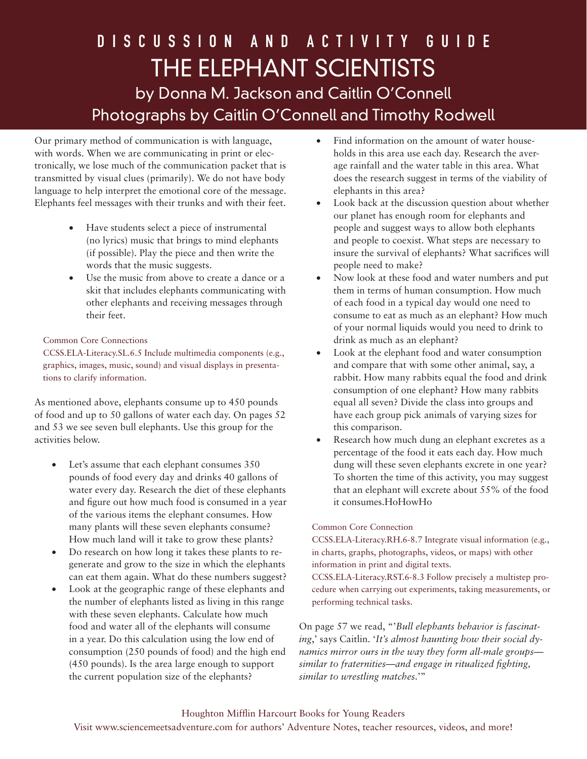Our primary method of communication is with language, with words. When we are communicating in print or electronically, we lose much of the communication packet that is transmitted by visual clues (primarily). We do not have body language to help interpret the emotional core of the message. Elephants feel messages with their trunks and with their feet.

- • Have students select a piece of instrumental (no lyrics) music that brings to mind elephants (if possible). Play the piece and then write the words that the music suggests.
- Use the music from above to create a dance or a skit that includes elephants communicating with other elephants and receiving messages through their feet.

## Common Core Connections

CCSS.ELA-Literacy.SL.6.5 Include multimedia components (e.g., graphics, images, music, sound) and visual displays in presentations to clarify information.

As mentioned above, elephants consume up to 450 pounds of food and up to 50 gallons of water each day. On pages 52 and 53 we see seven bull elephants. Use this group for the activities below.

- Let's assume that each elephant consumes 350 pounds of food every day and drinks 40 gallons of water every day. Research the diet of these elephants and figure out how much food is consumed in a year of the various items the elephant consumes. How many plants will these seven elephants consume? How much land will it take to grow these plants?
- Do research on how long it takes these plants to regenerate and grow to the size in which the elephants can eat them again. What do these numbers suggest?
- Look at the geographic range of these elephants and the number of elephants listed as living in this range with these seven elephants. Calculate how much food and water all of the elephants will consume in a year. Do this calculation using the low end of consumption (250 pounds of food) and the high end (450 pounds). Is the area large enough to support the current population size of the elephants?
- Find information on the amount of water households in this area use each day. Research the average rainfall and the water table in this area. What does the research suggest in terms of the viability of elephants in this area?
- Look back at the discussion question about whether our planet has enough room for elephants and people and suggest ways to allow both elephants and people to coexist. What steps are necessary to insure the survival of elephants? What sacrifices will people need to make?
- Now look at these food and water numbers and put them in terms of human consumption. How much of each food in a typical day would one need to consume to eat as much as an elephant? How much of your normal liquids would you need to drink to drink as much as an elephant?
- • Look at the elephant food and water consumption and compare that with some other animal, say, a rabbit. How many rabbits equal the food and drink consumption of one elephant? How many rabbits equal all seven? Divide the class into groups and have each group pick animals of varying sizes for this comparison.
- Research how much dung an elephant excretes as a percentage of the food it eats each day. How much dung will these seven elephants excrete in one year? To shorten the time of this activity, you may suggest that an elephant will excrete about 55% of the food it consumes.HoHowHo

## Common Core Connection

CCSS.ELA-Literacy.RH.6-8.7 Integrate visual information (e.g., in charts, graphs, photographs, videos, or maps) with other information in print and digital texts.

CCSS.ELA-Literacy.RST.6-8.3 Follow precisely a multistep procedure when carrying out experiments, taking measurements, or performing technical tasks.

On page 57 we read, "'*Bull elephants behavior is fascinating*,' says Caitlin. '*It's almost haunting how their social dynamics mirror ours in the way they form all-male groups similar to fraternities—and engage in ritualized fighting, similar to wrestling matches.*'"